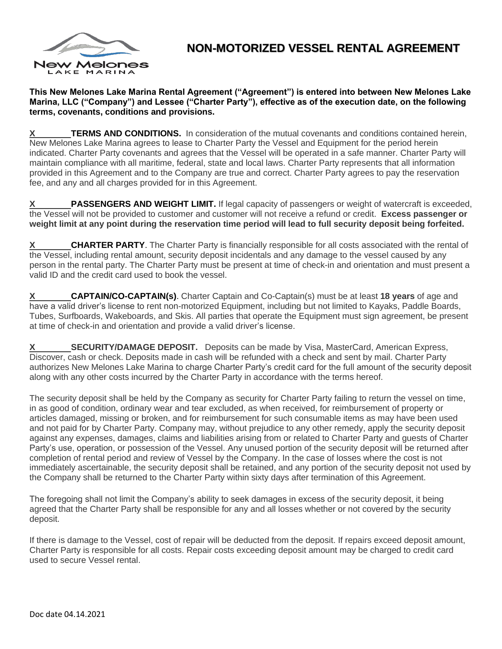

## **NON-MOTORIZED VESSEL RENTAL AGREEMENT**

**This New Melones Lake Marina Rental Agreement ("Agreement") is entered into between New Melones Lake Marina, LLC ("Company") and Lessee ("Charter Party"), effective as of the execution date, on the following terms, covenants, conditions and provisions.**

**TERMS AND CONDITIONS.** In consideration of the mutual covenants and conditions contained herein, New Melones Lake Marina agrees to lease to Charter Party the Vessel and Equipment for the period herein indicated. Charter Party covenants and agrees that the Vessel will be operated in a safe manner. Charter Party will maintain compliance with all maritime, federal, state and local laws. Charter Party represents that all information provided in this Agreement and to the Company are true and correct. Charter Party agrees to pay the reservation fee, and any and all charges provided for in this Agreement.

**PASSENGERS AND WEIGHT LIMIT.** If legal capacity of passengers or weight of watercraft is exceeded, the Vessel will not be provided to customer and customer will not receive a refund or credit. **Excess passenger or weight limit at any point during the reservation time period will lead to full security deposit being forfeited.**

**X** CHARTER PARTY. The Charter Party is financially responsible for all costs associated with the rental of the Vessel, including rental amount, security deposit incidentals and any damage to the vessel caused by any person in the rental party. The Charter Party must be present at time of check-in and orientation and must present a valid ID and the credit card used to book the vessel.

**X CAPTAIN/CO-CAPTAIN(s)**. Charter Captain and Co-Captain(s) must be at least **18 years** of age and have a valid driver's license to rent non-motorized Equipment, including but not limited to Kayaks, Paddle Boards, Tubes, Surfboards, Wakeboards, and Skis. All parties that operate the Equipment must sign agreement, be present at time of check-in and orientation and provide a valid driver's license.

**SECURITY/DAMAGE DEPOSIT.** Deposits can be made by Visa, MasterCard, American Express, Discover, cash or check. Deposits made in cash will be refunded with a check and sent by mail. Charter Party authorizes New Melones Lake Marina to charge Charter Party's credit card for the full amount of the security deposit along with any other costs incurred by the Charter Party in accordance with the terms hereof.

The security deposit shall be held by the Company as security for Charter Party failing to return the vessel on time, in as good of condition, ordinary wear and tear excluded, as when received, for reimbursement of property or articles damaged, missing or broken, and for reimbursement for such consumable items as may have been used and not paid for by Charter Party. Company may, without prejudice to any other remedy, apply the security deposit against any expenses, damages, claims and liabilities arising from or related to Charter Party and guests of Charter Party's use, operation, or possession of the Vessel. Any unused portion of the security deposit will be returned after completion of rental period and review of Vessel by the Company. In the case of losses where the cost is not immediately ascertainable, the security deposit shall be retained, and any portion of the security deposit not used by the Company shall be returned to the Charter Party within sixty days after termination of this Agreement.

The foregoing shall not limit the Company's ability to seek damages in excess of the security deposit, it being agreed that the Charter Party shall be responsible for any and all losses whether or not covered by the security deposit.

If there is damage to the Vessel, cost of repair will be deducted from the deposit. If repairs exceed deposit amount, Charter Party is responsible for all costs. Repair costs exceeding deposit amount may be charged to credit card used to secure Vessel rental.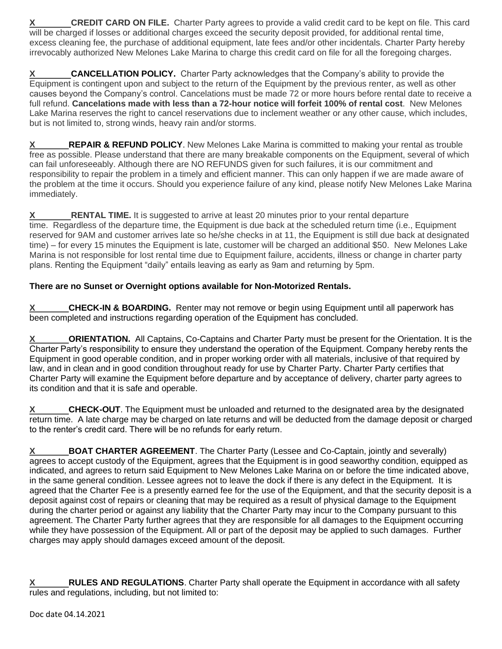**X CREDIT CARD ON FILE.** Charter Party agrees to provide a valid credit card to be kept on file. This card will be charged if losses or additional charges exceed the security deposit provided, for additional rental time, excess cleaning fee, the purchase of additional equipment, late fees and/or other incidentals. Charter Party hereby irrevocably authorized New Melones Lake Marina to charge this credit card on file for all the foregoing charges.

**X** CANCELLATION POLICY. Charter Party acknowledges that the Company's ability to provide the Equipment is contingent upon and subject to the return of the Equipment by the previous renter, as well as other causes beyond the Company's control. Cancelations must be made 72 or more hours before rental date to receive a full refund. **Cancelations made with less than a 72-hour notice will forfeit 100% of rental cost**. New Melones Lake Marina reserves the right to cancel reservations due to inclement weather or any other cause, which includes, but is not limited to, strong winds, heavy rain and/or storms.

**X** REPAIR & REFUND POLICY. New Melones Lake Marina is committed to making your rental as trouble free as possible. Please understand that there are many breakable components on the Equipment, several of which can fail unforeseeably. Although there are NO REFUNDS given for such failures, it is our commitment and responsibility to repair the problem in a timely and efficient manner. This can only happen if we are made aware of the problem at the time it occurs. Should you experience failure of any kind, please notify New Melones Lake Marina immediately.

**X** RENTAL TIME. It is suggested to arrive at least 20 minutes prior to your rental departure time. Regardless of the departure time, the Equipment is due back at the scheduled return time (i.e., Equipment reserved for 9AM and customer arrives late so he/she checks in at 11, the Equipment is still due back at designated time) – for every 15 minutes the Equipment is late, customer will be charged an additional \$50. New Melones Lake Marina is not responsible for lost rental time due to Equipment failure, accidents, illness or change in charter party plans. Renting the Equipment "daily" entails leaving as early as 9am and returning by 5pm.

## **There are no Sunset or Overnight options available for Non-Motorized Rentals.**

**X CHECK-IN & BOARDING.** Renter may not remove or begin using Equipment until all paperwork has been completed and instructions regarding operation of the Equipment has concluded.

**ORIENTATION.** All Captains, Co-Captains and Charter Party must be present for the Orientation. It is the Charter Party's responsibility to ensure they understand the operation of the Equipment. Company hereby rents the Equipment in good operable condition, and in proper working order with all materials, inclusive of that required by law, and in clean and in good condition throughout ready for use by Charter Party. Charter Party certifies that Charter Party will examine the Equipment before departure and by acceptance of delivery, charter party agrees to its condition and that it is safe and operable.

**X CHECK-OUT**. The Equipment must be unloaded and returned to the designated area by the designated return time. A late charge may be charged on late returns and will be deducted from the damage deposit or charged to the renter's credit card. There will be no refunds for early return.

**X** BOAT CHARTER AGREEMENT. The Charter Party (Lessee and Co-Captain, jointly and severally) agrees to accept custody of the Equipment, agrees that the Equipment is in good seaworthy condition, equipped as indicated, and agrees to return said Equipment to New Melones Lake Marina on or before the time indicated above, in the same general condition. Lessee agrees not to leave the dock if there is any defect in the Equipment. It is agreed that the Charter Fee is a presently earned fee for the use of the Equipment, and that the security deposit is a deposit against cost of repairs or cleaning that may be required as a result of physical damage to the Equipment during the charter period or against any liability that the Charter Party may incur to the Company pursuant to this agreement. The Charter Party further agrees that they are responsible for all damages to the Equipment occurring while they have possession of the Equipment. All or part of the deposit may be applied to such damages. Further charges may apply should damages exceed amount of the deposit.

**RULES AND REGULATIONS.** Charter Party shall operate the Equipment in accordance with all safety rules and regulations, including, but not limited to: